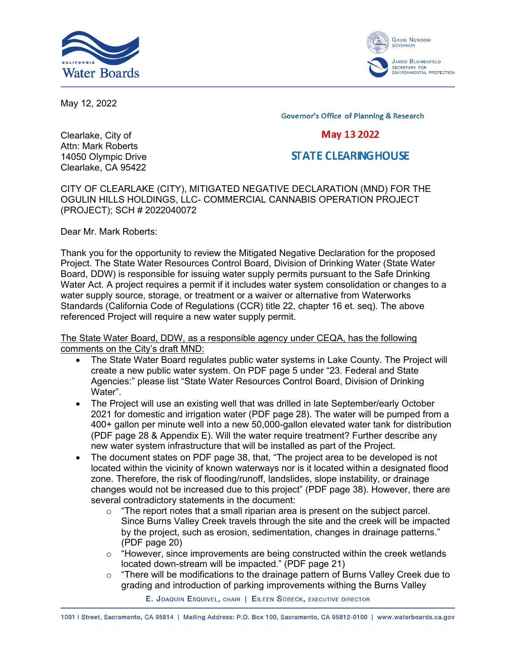



May 12, 2022

**Governor's Office of Planning & Research** 

## May 13 2022

## **STATE CLEARING HOUSE**

Clearlake, City of Attn: Mark Roberts 14050 Olympic Drive Clearlake, CA 95422

CITY OF CLEARLAKE (CITY), MITIGATED NEGATIVE DECLARATION (MND) FOR THE OGULIN HILLS HOLDINGS, LLC- COMMERCIAL CANNABIS OPERATION PROJECT (PROJECT); SCH # 2022040072

Dear Mr. Mark Roberts:

Thank you for the opportunity to review the Mitigated Negative Declaration for the proposed Project. The State Water Resources Control Board, Division of Drinking Water (State Water Board, DDW) is responsible for issuing water supply permits pursuant to the Safe Drinking Water Act. A project requires a permit if it includes water system consolidation or changes to a water supply source, storage, or treatment or a waiver or alternative from Waterworks Standards (California Code of Regulations (CCR) title 22, chapter 16 et. seq). The above referenced Project will require a new water supply permit.

The State Water Board, DDW, as a responsible agency under CEQA, has the following comments on the City's draft MND:

- · The State Water Board regulates public water systems in Lake County. The Project will create a new public water system. On PDF page 5 under "23. Federal and State Agencies:" please list "State Water Resources Control Board, Division of Drinking Water".
- The Project will use an existing well that was drilled in late September/early October 2021 for domestic and irrigation water (PDF page 28). The water will be pumped from a 400+ gallon per minute well into a new 50,000-gallon elevated water tank for distribution (PDF page 28 & Appendix E). Will the water require treatment? Further describe any new water system infrastructure that will be installed as part of the Project.
- · The document states on PDF page 38, that, "The project area to be developed is not located within the vicinity of known waterways nor is it located within a designated flood zone. Therefore, the risk of flooding/runoff, landslides, slope instability, or drainage changes would not be increased due to this project" (PDF page 38). However, there are several contradictory statements in the document:
	- $\circ$  "The report notes that a small riparian area is present on the subject parcel. Since Burns Valley Creek travels through the site and the creek will be impacted by the project, such as erosion, sedimentation, changes in drainage patterns." (PDF page 20)
	- $\circ$  "However, since improvements are being constructed within the creek wetlands located down-stream will be impacted." (PDF page 21)
	- $\circ$  "There will be modifications to the drainage pattern of Burns Valley Creek due to grading and introduction of parking improvements withing the Burns Valley

E. JOAQUIN ESQUIVEL, CHAIR | EILEEN SOBECK, EXECUTIVE DIRECTOR

1001 | Street, Sacramento, CA 95814 | Mailing Address: P.O. Box 100, Sacramento, CA 95812-0100 | www.waterboards.ca.gov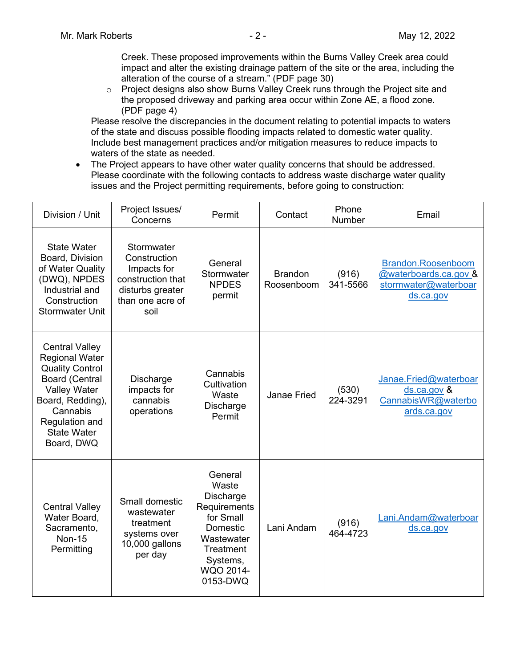Creek. These proposed improvements within the Burns Valley Creek area could impact and alter the existing drainage pattern of the site or the area, including the alteration of the course of a stream." (PDF page 30)

o Project designs also show Burns Valley Creek runs through the Project site and the proposed driveway and parking area occur within Zone AE, a flood zone. (PDF page 4)

Please resolve the discrepancies in the document relating to potential impacts to waters of the state and discuss possible flooding impacts related to domestic water quality. Include best management practices and/or mitigation measures to reduce impacts to waters of the state as needed.

· The Project appears to have other water quality concerns that should be addressed. Please coordinate with the following contacts to address waste discharge water quality issues and the Project permitting requirements, before going to construction:

| Division / Unit                                                                                                                                                                                                | Project Issues/<br>Concerns                                                                                    | Permit                                                                                                                                 | Contact                      | Phone<br>Number   | Email                                                                            |
|----------------------------------------------------------------------------------------------------------------------------------------------------------------------------------------------------------------|----------------------------------------------------------------------------------------------------------------|----------------------------------------------------------------------------------------------------------------------------------------|------------------------------|-------------------|----------------------------------------------------------------------------------|
| <b>State Water</b><br>Board, Division<br>of Water Quality<br>(DWQ), NPDES<br>Industrial and<br>Construction<br><b>Stormwater Unit</b>                                                                          | Stormwater<br>Construction<br>Impacts for<br>construction that<br>disturbs greater<br>than one acre of<br>soil | General<br>Stormwater<br><b>NPDES</b><br>permit                                                                                        | <b>Brandon</b><br>Roosenboom | (916)<br>341-5566 | Brandon.Roosenboom<br>@waterboards.ca.gov &<br>stormwater@waterboar<br>ds.ca.gov |
| <b>Central Valley</b><br><b>Regional Water</b><br><b>Quality Control</b><br><b>Board (Central</b><br><b>Valley Water</b><br>Board, Redding),<br>Cannabis<br>Regulation and<br><b>State Water</b><br>Board, DWQ | Discharge<br>impacts for<br>cannabis<br>operations                                                             | Cannabis<br>Cultivation<br>Waste<br>Discharge<br>Permit                                                                                | <b>Janae Fried</b>           | (530)<br>224-3291 | Janae.Fried@waterboar<br>ds.ca.gov &<br>CannabisWR@waterbo<br>ards.ca.gov        |
| <b>Central Valley</b><br>Water Board,<br>Sacramento,<br><b>Non-15</b><br>Permitting                                                                                                                            | Small domestic<br>wastewater<br>treatment<br>systems over<br>10,000 gallons<br>per day                         | General<br>Waste<br>Discharge<br>Requirements<br>for Small<br>Domestic<br>Wastewater<br>Treatment<br>Systems,<br>WQO 2014-<br>0153-DWQ | Lani Andam                   | (916)<br>464-4723 | Lani.Andam@waterboar<br>ds.ca.gov                                                |